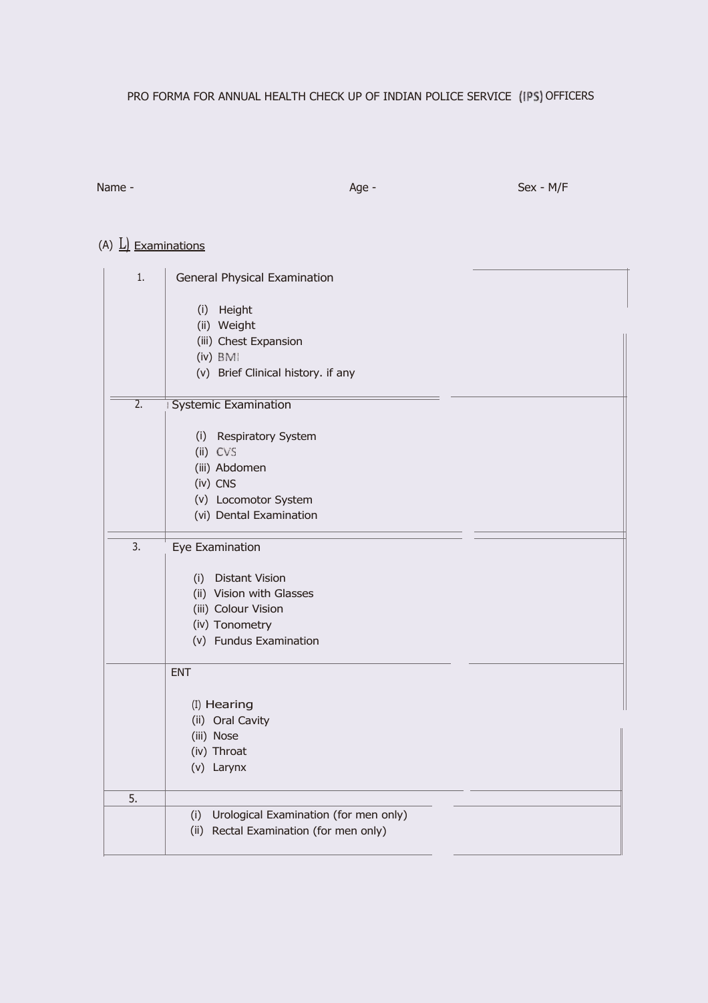# PRO FORMA FOR ANNUAL HEALTH CHECK UP OF INDIAN POLICE SERVICE (IPS) OFFICERS

Name - Sex - M/F

# (A)  $\underline{L}$  Examinations

| 1.               | General Physical Examination              |
|------------------|-------------------------------------------|
|                  | (i) Height                                |
|                  | (ii) Weight                               |
|                  | (iii) Chest Expansion                     |
|                  | (iv) BMI                                  |
|                  | (v) Brief Clinical history. if any        |
|                  |                                           |
| $\overline{2}$ . | <b>Systemic Examination</b>               |
|                  |                                           |
|                  | <b>Respiratory System</b><br>(i)          |
|                  | (ii) CVS                                  |
|                  | (iii) Abdomen                             |
|                  | (iv) CNS                                  |
|                  | (v) Locomotor System                      |
|                  | (vi) Dental Examination                   |
| 3.               | Eye Examination                           |
|                  |                                           |
|                  | <b>Distant Vision</b><br>(i)              |
|                  | (ii) Vision with Glasses                  |
|                  | (iii) Colour Vision                       |
|                  | (iv) Tonometry                            |
|                  | (v) Fundus Examination                    |
|                  |                                           |
|                  | <b>ENT</b>                                |
|                  |                                           |
|                  | (I) Hearing                               |
|                  | (ii) Oral Cavity                          |
|                  | (iii) Nose                                |
|                  | (iv) Throat                               |
|                  | (v) Larynx                                |
| 5.               |                                           |
|                  | (i) Urological Examination (for men only) |
|                  | (ii) Rectal Examination (for men only)    |
|                  |                                           |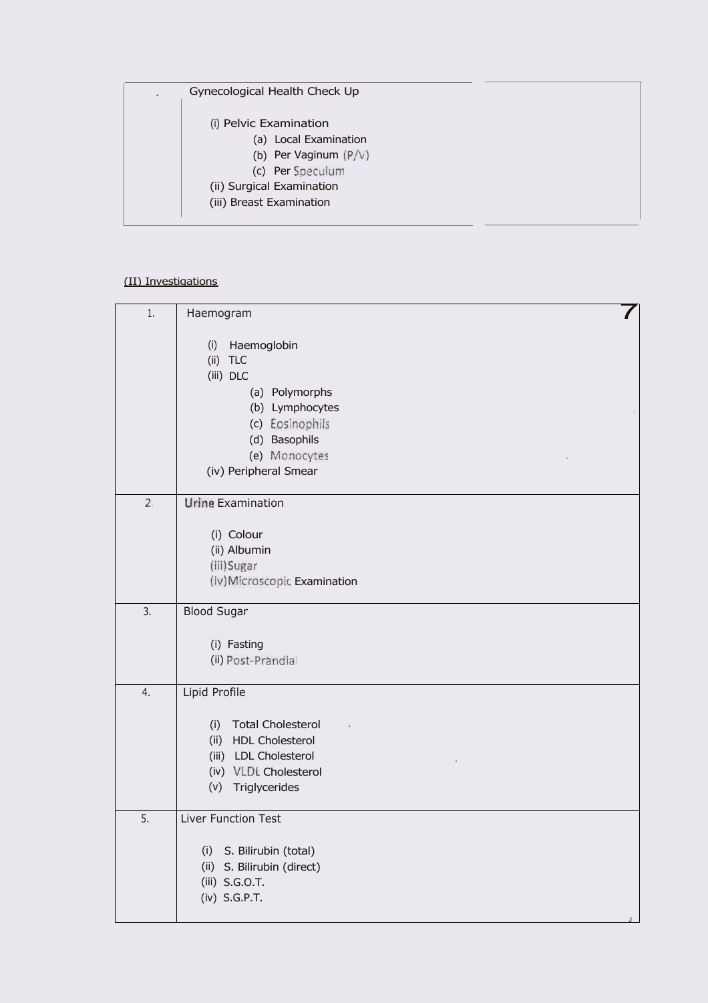| Gynecological Health Check Up<br>$\sim$                                                        |  |
|------------------------------------------------------------------------------------------------|--|
| (i) Pelvic Examination<br>(a) Local Examination<br>(b) Per Vaginum $(P/V)$<br>(c) Per Speculum |  |
| (ii) Surgical Examination                                                                      |  |
| (iii) Breast Examination                                                                       |  |
|                                                                                                |  |

### (II) Investigations

| 1. | Haemogram                                                                                                                                          |
|----|----------------------------------------------------------------------------------------------------------------------------------------------------|
|    | (i)<br>Haemoglobin<br>(ii)<br><b>TLC</b><br>(iii) DLC<br>(a) Polymorphs<br>(b) Lymphocytes<br>(c) Eosinophils<br>(d) Basophils                     |
|    | (e) Monocytes<br>(iv) Peripheral Smear                                                                                                             |
| 2. | <b>Urine Examination</b><br>(i) Colour<br>(ii) Albumin<br>(iii) Sugar<br>(iv) Microscopic Examination                                              |
| 3. | <b>Blood Sugar</b><br>(i) Fasting<br>(ii) Post-Prandial                                                                                            |
| 4. | Lipid Profile<br><b>Total Cholesterol</b><br>(i)<br>(ii) HDL Cholesterol<br>(iii) LDL Cholesterol<br>(iv) VLDL Cholesterol<br>Triglycerides<br>(v) |
| 5. | Liver Function Test<br>S. Bilirubin (total)<br>(i)<br>(ii) S. Bilirubin (direct)<br>(iii) S.G.O.T.<br>(iv) S.G.P.T.                                |